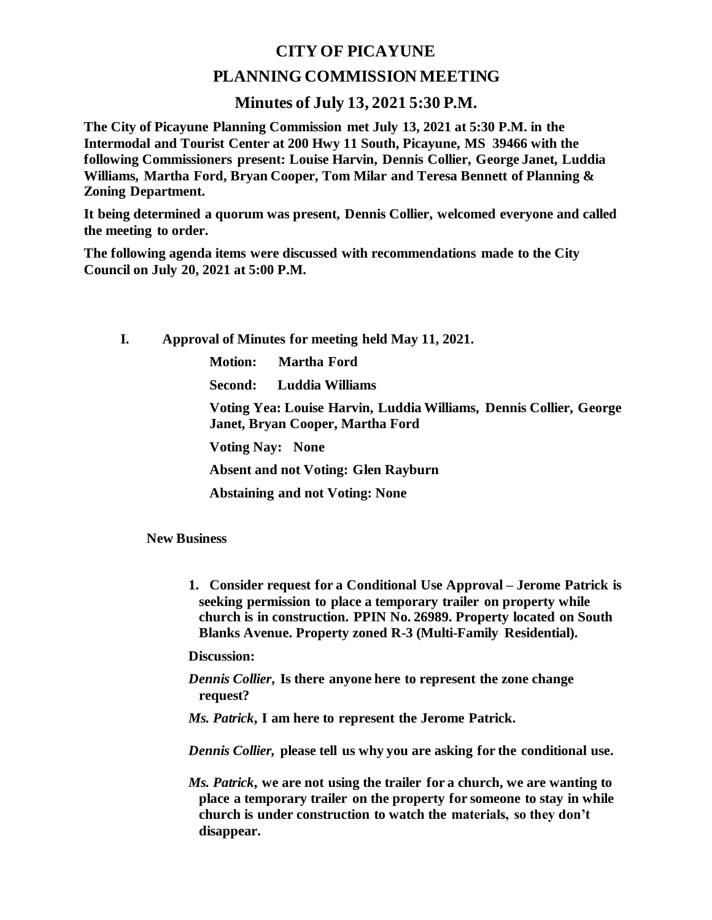## **CITY OF PICAYUNE**

## **PLANNING COMMISSION MEETING**

## **Minutes of July 13, 2021 5:30 P.M.**

**The City of Picayune Planning Commission met July 13, 2021 at 5:30 P.M. in the Intermodal and Tourist Center at 200 Hwy 11 South, Picayune, MS 39466 with the following Commissioners present: Louise Harvin, Dennis Collier, George Janet, Luddia Williams, Martha Ford, Bryan Cooper, Tom Milar and Teresa Bennett of Planning & Zoning Department.**

**It being determined a quorum was present, Dennis Collier, welcomed everyone and called the meeting to order.**

**The following agenda items were discussed with recommendations made to the City Council on July 20, 2021 at 5:00 P.M.** 

**I. Approval of Minutes for meeting held May 11, 2021.**

**Motion: Martha Ford**

**Second: Luddia Williams**

**Voting Yea: Louise Harvin, Luddia Williams, Dennis Collier, George Janet, Bryan Cooper, Martha Ford**

**Voting Nay: None**

**Absent and not Voting: Glen Rayburn**

**Abstaining and not Voting: None**

**New Business**

**1. Consider request for a Conditional Use Approval – Jerome Patrick is seeking permission to place a temporary trailer on property while church is in construction. PPIN No. 26989. Property located on South Blanks Avenue. Property zoned R-3 (Multi-Family Residential).**

**Discussion:**

*Dennis Collier***, Is there anyone here to represent the zone change request?**

*Ms. Patrick***, I am here to represent the Jerome Patrick.**

*Dennis Collier,* **please tell us why you are asking for the conditional use.**

*Ms. Patrick***, we are not using the trailer for a church, we are wanting to place a temporary trailer on the property for someone to stay in while church is under construction to watch the materials, so they don't disappear.**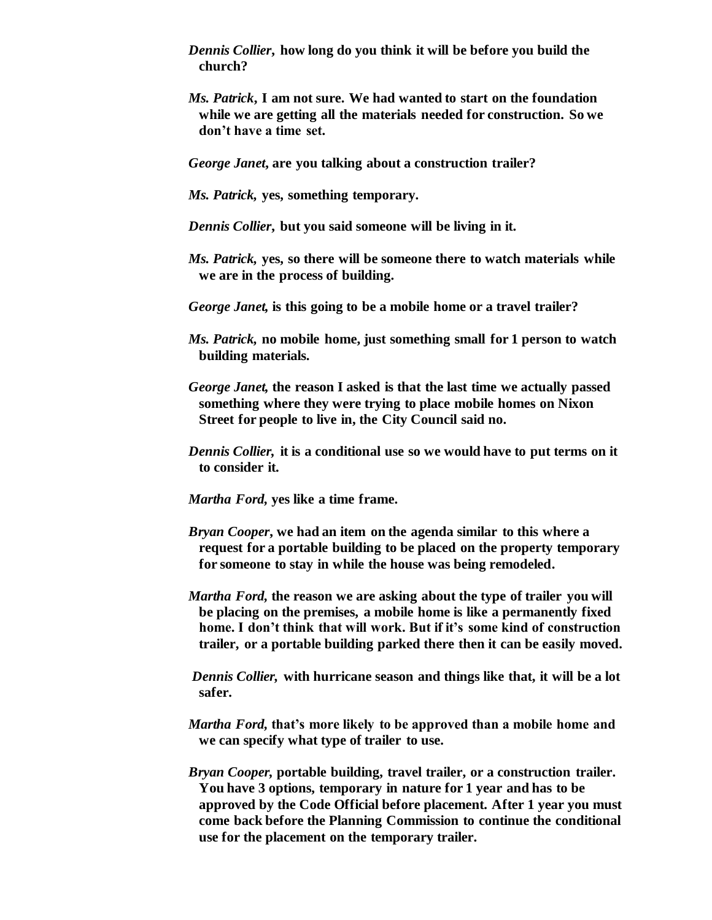*Dennis Collier***, how long do you think it will be before you build the church?**

*Ms. Patrick***, I am not sure. We had wanted to start on the foundation while we are getting all the materials needed for construction. So we don't have a time set.**

*George Janet***, are you talking about a construction trailer?**

- *Ms. Patrick,* **yes, something temporary.**
- *Dennis Collier***, but you said someone will be living in it.**
- *Ms. Patrick,* **yes, so there will be someone there to watch materials while we are in the process of building.**
- *George Janet,* **is this going to be a mobile home or a travel trailer?**
- *Ms. Patrick,* **no mobile home, just something small for 1 person to watch building materials.**
- *George Janet,* **the reason I asked is that the last time we actually passed something where they were trying to place mobile homes on Nixon Street for people to live in, the City Council said no.**
- *Dennis Collier,* **it is a conditional use so we would have to put terms on it to consider it.**
- *Martha Ford,* **yes like a time frame.**
- *Bryan Cooper***, we had an item on the agenda similar to this where a request for a portable building to be placed on the property temporary for someone to stay in while the house was being remodeled.**
- *Martha Ford,* **the reason we are asking about the type of trailer you will be placing on the premises, a mobile home is like a permanently fixed home. I don't think that will work. But if it's some kind of construction trailer, or a portable building parked there then it can be easily moved.**
- *Dennis Collier,* **with hurricane season and things like that, it will be a lot safer.**
- *Martha Ford,* **that's more likely to be approved than a mobile home and we can specify what type of trailer to use.**
- *Bryan Cooper,* **portable building, travel trailer, or a construction trailer. You have 3 options, temporary in nature for 1 year and has to be approved by the Code Official before placement. After 1 year you must come back before the Planning Commission to continue the conditional use for the placement on the temporary trailer.**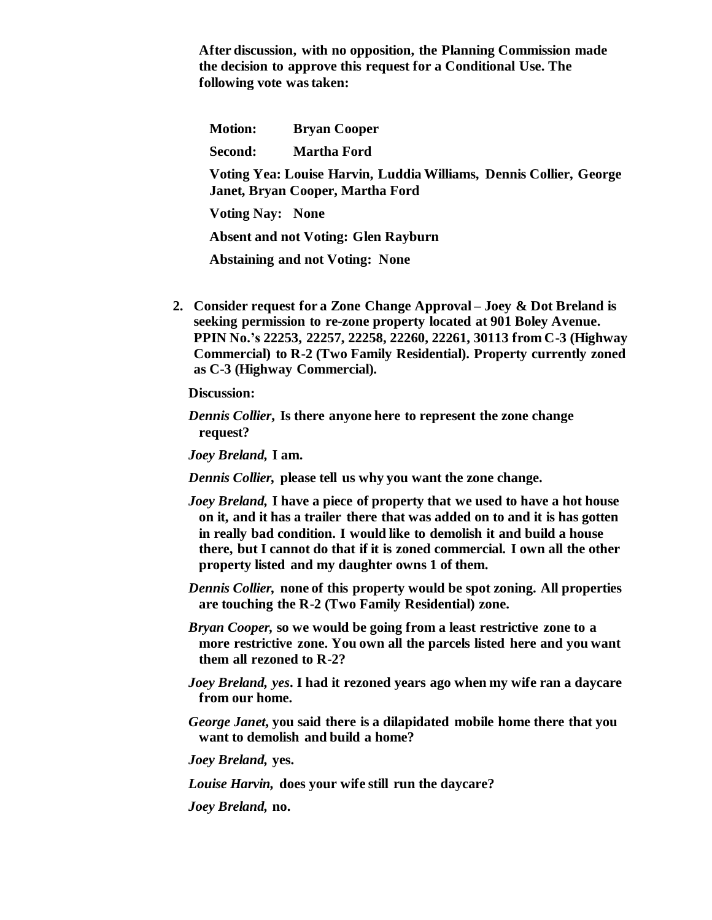**After discussion, with no opposition, the Planning Commission made the decision to approve this request for a Conditional Use. The following vote was taken:**

**Motion: Bryan Cooper**

**Second: Martha Ford**

**Voting Yea: Louise Harvin, Luddia Williams, Dennis Collier, George Janet, Bryan Cooper, Martha Ford**

**Voting Nay: None**

**Absent and not Voting: Glen Rayburn**

 **Abstaining and not Voting: None**

**2. Consider request for a Zone Change Approval – Joey & Dot Breland is seeking permission to re-zone property located at 901 Boley Avenue. PPIN No.'s 22253, 22257, 22258, 22260, 22261, 30113 from C-3 (Highway Commercial) to R-2 (Two Family Residential). Property currently zoned as C-3 (Highway Commercial).**

**Discussion:**

*Dennis Collier***, Is there anyone here to represent the zone change request?**

*Joey Breland,* **I am.**

*Dennis Collier,* **please tell us why you want the zone change.**

- *Joey Breland,* **I have a piece of property that we used to have a hot house on it, and it has a trailer there that was added on to and it is has gotten in really bad condition. I would like to demolish it and build a house there, but I cannot do that if it is zoned commercial. I own all the other property listed and my daughter owns 1 of them.**
- *Dennis Collier,* **none of this property would be spot zoning. All properties are touching the R-2 (Two Family Residential) zone.**
- *Bryan Cooper,* **so we would be going from a least restrictive zone to a more restrictive zone. You own all the parcels listed here and you want them all rezoned to R-2?**
- *Joey Breland, yes***. I had it rezoned years ago when my wife ran a daycare from our home.**
- *George Janet***, you said there is a dilapidated mobile home there that you want to demolish and build a home?**

*Joey Breland,* **yes.**

*Louise Harvin,* **does your wife still run the daycare?**

*Joey Breland,* **no.**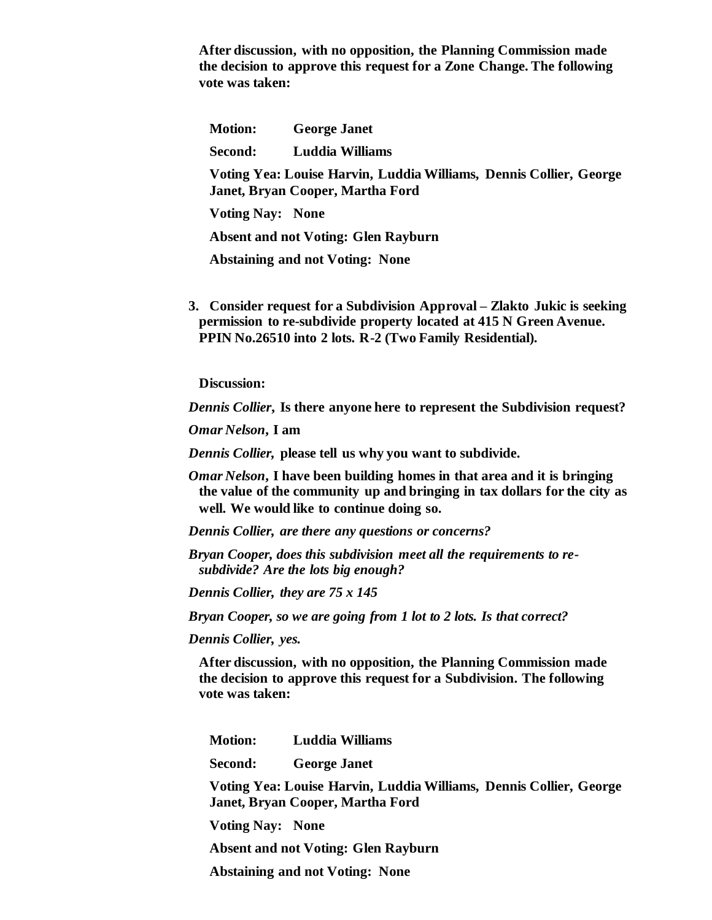**After discussion, with no opposition, the Planning Commission made the decision to approve this request for a Zone Change. The following vote was taken:**

**Motion: George Janet**

**Second: Luddia Williams**

**Voting Yea: Louise Harvin, Luddia Williams, Dennis Collier, George Janet, Bryan Cooper, Martha Ford**

**Voting Nay: None**

**Absent and not Voting: Glen Rayburn**

 **Abstaining and not Voting: None**

**3. Consider request for a Subdivision Approval – Zlakto Jukic is seeking permission to re-subdivide property located at 415 N Green Avenue. PPIN No.26510 into 2 lots. R-2 (Two Family Residential).** 

**Discussion:**

*Dennis Collier***, Is there anyone here to represent the Subdivision request?**

*Omar Nelson***, I am**

*Dennis Collier,* **please tell us why you want to subdivide.**

*Omar Nelson***, I have been building homes in that area and it is bringing the value of the community up and bringing in tax dollars for the city as well. We would like to continue doing so.**

*Dennis Collier, are there any questions or concerns?*

*Bryan Cooper, does this subdivision meet all the requirements to resubdivide? Are the lots big enough?*

*Dennis Collier, they are 75 x 145*

*Bryan Cooper, so we are going from 1 lot to 2 lots. Is that correct?*

*Dennis Collier, yes.*

**After discussion, with no opposition, the Planning Commission made the decision to approve this request for a Subdivision. The following vote was taken:**

**Motion: Luddia Williams**

**Second: George Janet**

**Voting Yea: Louise Harvin, Luddia Williams, Dennis Collier, George Janet, Bryan Cooper, Martha Ford**

**Voting Nay: None**

**Absent and not Voting: Glen Rayburn**

 **Abstaining and not Voting: None**